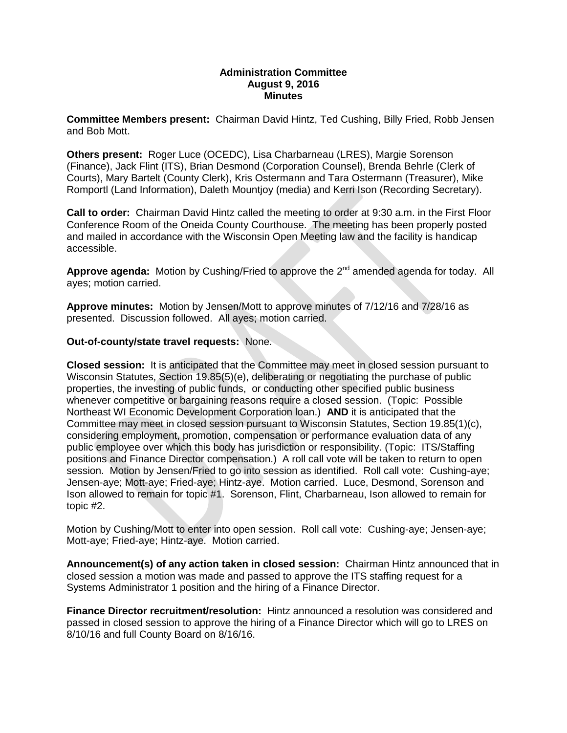## **Administration Committee August 9, 2016 Minutes**

**Committee Members present:** Chairman David Hintz, Ted Cushing, Billy Fried, Robb Jensen and Bob Mott.

**Others present:** Roger Luce (OCEDC), Lisa Charbarneau (LRES), Margie Sorenson (Finance), Jack Flint (ITS), Brian Desmond (Corporation Counsel), Brenda Behrle (Clerk of Courts), Mary Bartelt (County Clerk), Kris Ostermann and Tara Ostermann (Treasurer), Mike Romportl (Land Information), Daleth Mountjoy (media) and Kerri Ison (Recording Secretary).

**Call to order:** Chairman David Hintz called the meeting to order at 9:30 a.m. in the First Floor Conference Room of the Oneida County Courthouse. The meeting has been properly posted and mailed in accordance with the Wisconsin Open Meeting law and the facility is handicap accessible.

Approve agenda: Motion by Cushing/Fried to approve the 2<sup>nd</sup> amended agenda for today. All ayes; motion carried.

**Approve minutes:** Motion by Jensen/Mott to approve minutes of 7/12/16 and 7/28/16 as presented. Discussion followed. All ayes; motion carried.

### **Out-of-county/state travel requests:** None.

**Closed session:** It is anticipated that the Committee may meet in closed session pursuant to Wisconsin Statutes, Section 19.85(5)(e), deliberating or negotiating the purchase of public properties, the investing of public funds, or conducting other specified public business whenever competitive or bargaining reasons require a closed session. (Topic: Possible Northeast WI Economic Development Corporation loan.) **AND** it is anticipated that the Committee may meet in closed session pursuant to Wisconsin Statutes, Section 19.85(1)(c), considering employment, promotion, compensation or performance evaluation data of any public employee over which this body has jurisdiction or responsibility. (Topic: ITS/Staffing positions and Finance Director compensation.) A roll call vote will be taken to return to open session. Motion by Jensen/Fried to go into session as identified. Roll call vote: Cushing-aye; Jensen-aye; Mott-aye; Fried-aye; Hintz-aye. Motion carried. Luce, Desmond, Sorenson and Ison allowed to remain for topic #1. Sorenson, Flint, Charbarneau, Ison allowed to remain for topic #2.

Motion by Cushing/Mott to enter into open session. Roll call vote: Cushing-aye; Jensen-aye; Mott-aye; Fried-aye; Hintz-aye. Motion carried.

**Announcement(s) of any action taken in closed session:** Chairman Hintz announced that in closed session a motion was made and passed to approve the ITS staffing request for a Systems Administrator 1 position and the hiring of a Finance Director.

**Finance Director recruitment/resolution:** Hintz announced a resolution was considered and passed in closed session to approve the hiring of a Finance Director which will go to LRES on 8/10/16 and full County Board on 8/16/16.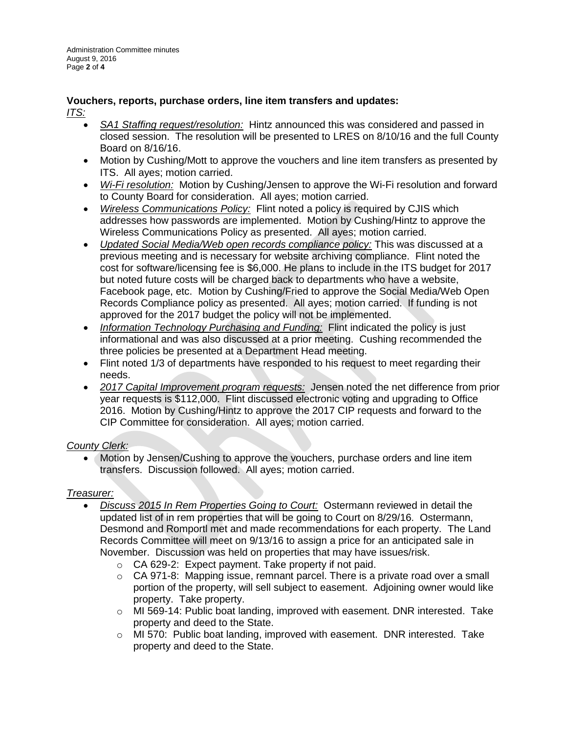## **Vouchers, reports, purchase orders, line item transfers and updates:** *ITS:*

- *SA1 Staffing request/resolution:* Hintz announced this was considered and passed in closed session. The resolution will be presented to LRES on 8/10/16 and the full County Board on 8/16/16.
- Motion by Cushing/Mott to approve the vouchers and line item transfers as presented by ITS. All ayes; motion carried.
- *Wi-Fi resolution:* Motion by Cushing/Jensen to approve the Wi-Fi resolution and forward to County Board for consideration. All ayes; motion carried.
- *Wireless Communications Policy:* Flint noted a policy is required by CJIS which addresses how passwords are implemented. Motion by Cushing/Hintz to approve the Wireless Communications Policy as presented. All ayes; motion carried.
- *Updated Social Media/Web open records compliance policy:* This was discussed at a previous meeting and is necessary for website archiving compliance. Flint noted the cost for software/licensing fee is \$6,000. He plans to include in the ITS budget for 2017 but noted future costs will be charged back to departments who have a website, Facebook page, etc. Motion by Cushing/Fried to approve the Social Media/Web Open Records Compliance policy as presented. All ayes; motion carried. If funding is not approved for the 2017 budget the policy will not be implemented.
- *Information Technology Purchasing and Funding:* Flint indicated the policy is just informational and was also discussed at a prior meeting. Cushing recommended the three policies be presented at a Department Head meeting.
- Flint noted 1/3 of departments have responded to his request to meet regarding their needs.
- *2017 Capital Improvement program requests:* Jensen noted the net difference from prior year requests is \$112,000. Flint discussed electronic voting and upgrading to Office 2016. Motion by Cushing/Hintz to approve the 2017 CIP requests and forward to the CIP Committee for consideration. All ayes; motion carried.

# *County Clerk:*

• Motion by Jensen/Cushing to approve the vouchers, purchase orders and line item transfers. Discussion followed. All ayes; motion carried.

# *Treasurer:*

- *Discuss 2015 In Rem Properties Going to Court:* Ostermann reviewed in detail the updated list of in rem properties that will be going to Court on 8/29/16. Ostermann, Desmond and Romportl met and made recommendations for each property. The Land Records Committee will meet on 9/13/16 to assign a price for an anticipated sale in November. Discussion was held on properties that may have issues/risk.
	- o CA 629-2: Expect payment. Take property if not paid.
	- $\circ$  CA 971-8: Mapping issue, remnant parcel. There is a private road over a small portion of the property, will sell subject to easement. Adjoining owner would like property. Take property.
	- o MI 569-14: Public boat landing, improved with easement. DNR interested. Take property and deed to the State.
	- $\circ$  MI 570: Public boat landing, improved with easement. DNR interested. Take property and deed to the State.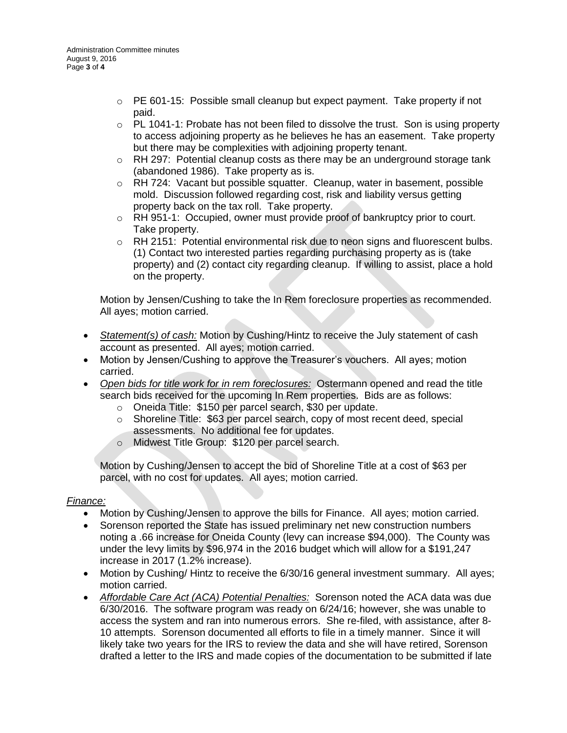- $\circ$  PE 601-15: Possible small cleanup but expect payment. Take property if not paid.
- $\circ$  PL 1041-1: Probate has not been filed to dissolve the trust. Son is using property to access adjoining property as he believes he has an easement. Take property but there may be complexities with adjoining property tenant.
- $\circ$  RH 297: Potential cleanup costs as there may be an underground storage tank (abandoned 1986). Take property as is.
- $\circ$  RH 724: Vacant but possible squatter. Cleanup, water in basement, possible mold. Discussion followed regarding cost, risk and liability versus getting property back on the tax roll. Take property.
- $\circ$  RH 951-1: Occupied, owner must provide proof of bankruptcy prior to court. Take property.
- o RH 2151: Potential environmental risk due to neon signs and fluorescent bulbs. (1) Contact two interested parties regarding purchasing property as is (take property) and (2) contact city regarding cleanup. If willing to assist, place a hold on the property.

Motion by Jensen/Cushing to take the In Rem foreclosure properties as recommended. All ayes; motion carried.

- **Statement(s) of cash:** Motion by Cushing/Hintz to receive the July statement of cash account as presented. All ayes; motion carried.
- Motion by Jensen/Cushing to approve the Treasurer's vouchers. All ayes; motion carried.
- *Open bids for title work for in rem foreclosures:* Ostermann opened and read the title search bids received for the upcoming In Rem properties. Bids are as follows:
	- o Oneida Title: \$150 per parcel search, \$30 per update.
	- $\circ$  Shoreline Title: \$63 per parcel search, copy of most recent deed, special assessments. No additional fee for updates.
	- o Midwest Title Group: \$120 per parcel search.

Motion by Cushing/Jensen to accept the bid of Shoreline Title at a cost of \$63 per parcel, with no cost for updates. All ayes; motion carried.

# *Finance:*

- Motion by Cushing/Jensen to approve the bills for Finance. All ayes; motion carried.
- Sorenson reported the State has issued preliminary net new construction numbers noting a .66 increase for Oneida County (levy can increase \$94,000). The County was under the levy limits by \$96,974 in the 2016 budget which will allow for a \$191,247 increase in 2017 (1.2% increase).
- Motion by Cushing/ Hintz to receive the 6/30/16 general investment summary. All ayes; motion carried.
- *Affordable Care Act (ACA) Potential Penalties:* Sorenson noted the ACA data was due 6/30/2016. The software program was ready on 6/24/16; however, she was unable to access the system and ran into numerous errors. She re-filed, with assistance, after 8- 10 attempts. Sorenson documented all efforts to file in a timely manner. Since it will likely take two years for the IRS to review the data and she will have retired, Sorenson drafted a letter to the IRS and made copies of the documentation to be submitted if late